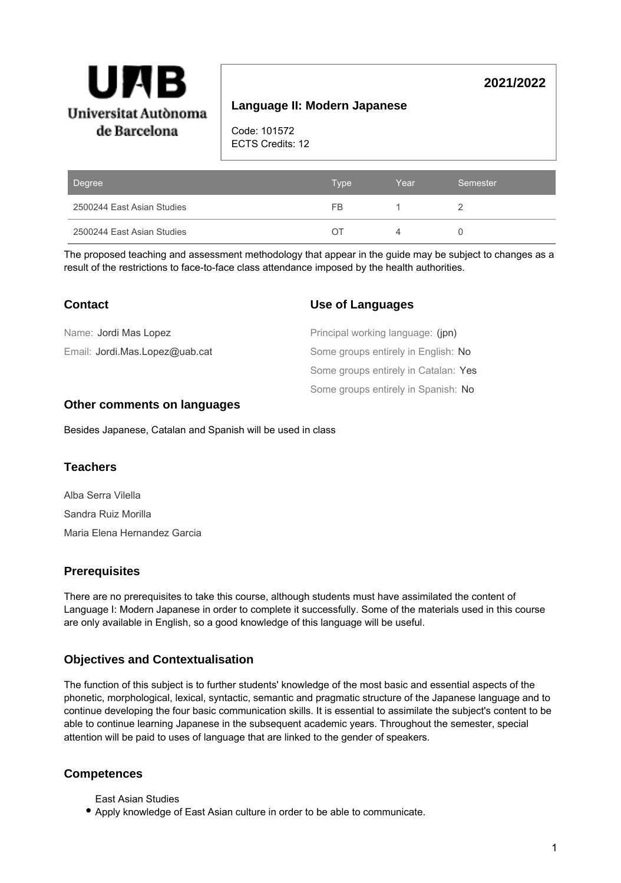

# **Language II: Modern Japanese**

Code: 101572 ECTS Credits: 12

| Degree                     | Type  | Year | Semester |
|----------------------------|-------|------|----------|
| 2500244 East Asian Studies | FB    |      |          |
| 2500244 East Asian Studies | ( ) 1 |      |          |

The proposed teaching and assessment methodology that appear in the guide may be subject to changes as a result of the restrictions to face-to-face class attendance imposed by the health authorities.

| <b>Contact</b>                 | <b>Use of Languages</b>              |
|--------------------------------|--------------------------------------|
| Name: Jordi Mas Lopez          | Principal working language: (jpn)    |
| Email: Jordi.Mas.Lopez@uab.cat | Some groups entirely in English: No  |
|                                | Some groups entirely in Catalan: Yes |
|                                | Some groups entirely in Spanish: No  |

## **Other comments on languages**

Besides Japanese, Catalan and Spanish will be used in class

## **Teachers**

Alba Serra Vilella Sandra Ruiz Morilla Maria Elena Hernandez Garcia

## **Prerequisites**

There are no prerequisites to take this course, although students must have assimilated the content of Language I: Modern Japanese in order to complete it successfully. Some of the materials used in this course are only available in English, so a good knowledge of this language will be useful.

## **Objectives and Contextualisation**

The function of this subject is to further students' knowledge of the most basic and essential aspects of the phonetic, morphological, lexical, syntactic, semantic and pragmatic structure of the Japanese language and to continue developing the four basic communication skills. It is essential to assimilate the subject's content to be able to continue learning Japanese in the subsequent academic years. Throughout the semester, special attention will be paid to uses of language that are linked to the gender of speakers.

## **Competences**

- East Asian Studies
- Apply knowledge of East Asian culture in order to be able to communicate.

**2021/2022**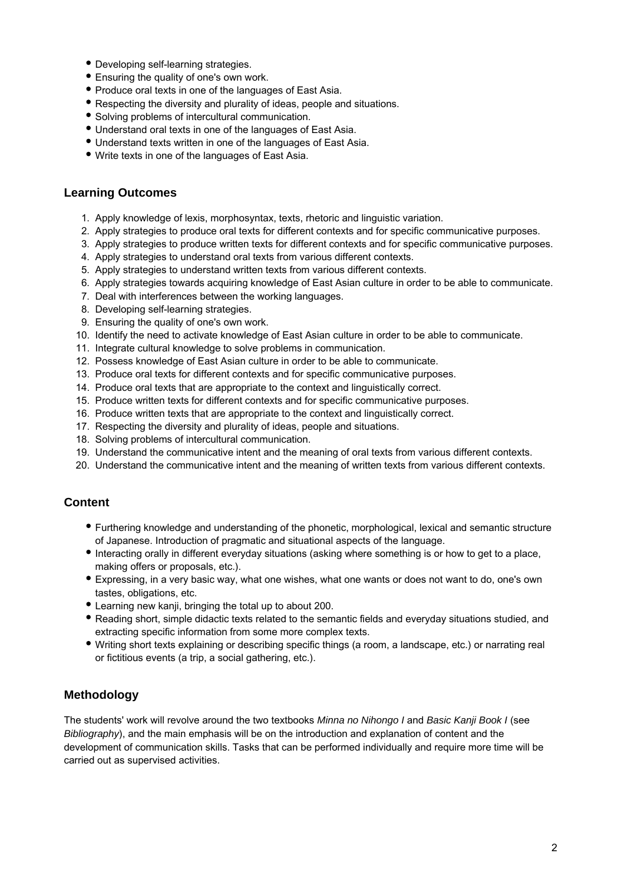- Developing self-learning strategies.
- Ensuring the quality of one's own work.
- Produce oral texts in one of the languages of East Asia.
- Respecting the diversity and plurality of ideas, people and situations.
- Solving problems of intercultural communication.
- Understand oral texts in one of the languages of East Asia.
- Understand texts written in one of the languages of East Asia.
- Write texts in one of the languages of East Asia.

## **Learning Outcomes**

- 1. Apply knowledge of lexis, morphosyntax, texts, rhetoric and linguistic variation.
- 2. Apply strategies to produce oral texts for different contexts and for specific communicative purposes.
- 3. Apply strategies to produce written texts for different contexts and for specific communicative purposes.
- 4. Apply strategies to understand oral texts from various different contexts.
- 5. Apply strategies to understand written texts from various different contexts.
- 6. Apply strategies towards acquiring knowledge of East Asian culture in order to be able to communicate.
- 7. Deal with interferences between the working languages.
- 8. Developing self-learning strategies.
- 9. Ensuring the quality of one's own work.
- 10. Identify the need to activate knowledge of East Asian culture in order to be able to communicate.
- 11. Integrate cultural knowledge to solve problems in communication.
- 12. Possess knowledge of East Asian culture in order to be able to communicate.
- 13. Produce oral texts for different contexts and for specific communicative purposes.
- 14. Produce oral texts that are appropriate to the context and linguistically correct.
- 15. Produce written texts for different contexts and for specific communicative purposes.
- 16. Produce written texts that are appropriate to the context and linguistically correct.
- 17. Respecting the diversity and plurality of ideas, people and situations.
- 18. Solving problems of intercultural communication.
- 19. Understand the communicative intent and the meaning of oral texts from various different contexts.
- 20. Understand the communicative intent and the meaning of written texts from various different contexts.

## **Content**

- Furthering knowledge and understanding of the phonetic, morphological, lexical and semantic structure of Japanese. Introduction of pragmatic and situational aspects of the language.
- Interacting orally in different everyday situations (asking where something is or how to get to a place, making offers or proposals, etc.).
- Expressing, in a very basic way, what one wishes, what one wants or does not want to do, one's own tastes, obligations, etc.
- Learning new kanji, bringing the total up to about 200.
- Reading short, simple didactic texts related to the semantic fields and everyday situations studied, and extracting specific information from some more complex texts.
- Writing short texts explaining or describing specific things (a room, a landscape, etc.) or narrating real or fictitious events (a trip, a social gathering, etc.).

# **Methodology**

The students' work will revolve around the two textbooks Minna no Nihongo I and Basic Kanji Book I (see Bibliography), and the main emphasis will be on the introduction and explanation of content and the development of communication skills. Tasks that can be performed individually and require more time will be carried out as supervised activities.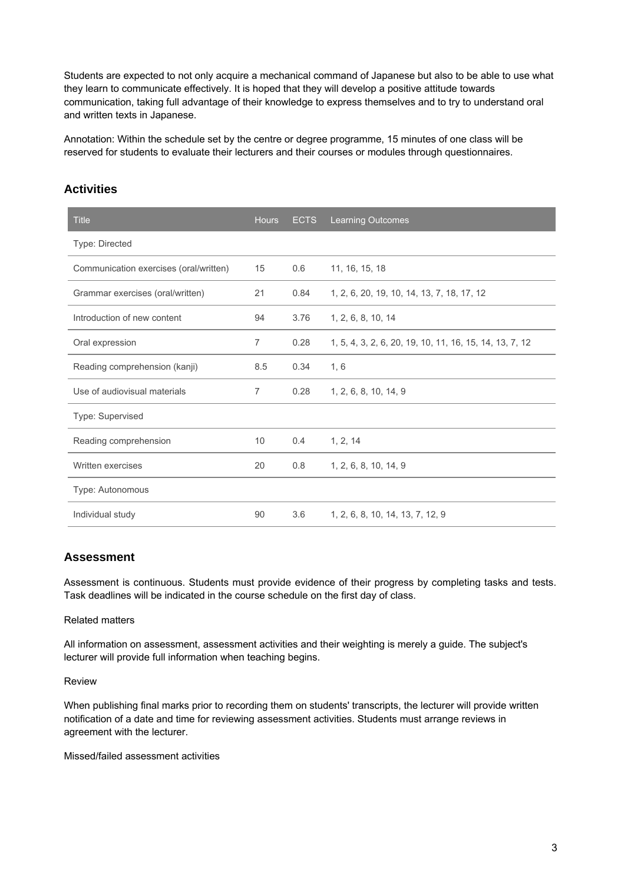Students are expected to not only acquire a mechanical command of Japanese but also to be able to use what they learn to communicate effectively. It is hoped that they will develop a positive attitude towards communication, taking full advantage of their knowledge to express themselves and to try to understand oral and written texts in Japanese.

Annotation: Within the schedule set by the centre or degree programme, 15 minutes of one class will be reserved for students to evaluate their lecturers and their courses or modules through questionnaires.

| <b>Title</b>                           | <b>Hours</b>   | <b>ECTS</b> | <b>Learning Outcomes</b>                                |
|----------------------------------------|----------------|-------------|---------------------------------------------------------|
| Type: Directed                         |                |             |                                                         |
| Communication exercises (oral/written) | 15             | 0.6         | 11, 16, 15, 18                                          |
| Grammar exercises (oral/written)       | 21             | 0.84        | 1, 2, 6, 20, 19, 10, 14, 13, 7, 18, 17, 12              |
| Introduction of new content            | 94             | 3.76        | 1, 2, 6, 8, 10, 14                                      |
| Oral expression                        | $\overline{7}$ | 0.28        | 1, 5, 4, 3, 2, 6, 20, 19, 10, 11, 16, 15, 14, 13, 7, 12 |
| Reading comprehension (kanji)          | 8.5            | 0.34        | 1, 6                                                    |
| Use of audiovisual materials           | $\overline{7}$ | 0.28        | 1, 2, 6, 8, 10, 14, 9                                   |
| Type: Supervised                       |                |             |                                                         |
| Reading comprehension                  | 10             | 0.4         | 1, 2, 14                                                |
| Written exercises                      | 20             | 0.8         | 1, 2, 6, 8, 10, 14, 9                                   |
| Type: Autonomous                       |                |             |                                                         |
| Individual study                       | 90             | 3.6         | 1, 2, 6, 8, 10, 14, 13, 7, 12, 9                        |

# **Activities**

### **Assessment**

Assessment is continuous. Students must provide evidence of their progress by completing tasks and tests. Task deadlines will be indicated in the course schedule on the first day of class.

#### Related matters

All information on assessment, assessment activities and their weighting is merely a guide. The subject's lecturer will provide full information when teaching begins.

#### Review

When publishing final marks prior to recording them on students' transcripts, the lecturer will provide written notification of a date and time for reviewing assessment activities. Students must arrange reviews in agreement with the lecturer.

Missed/failed assessment activities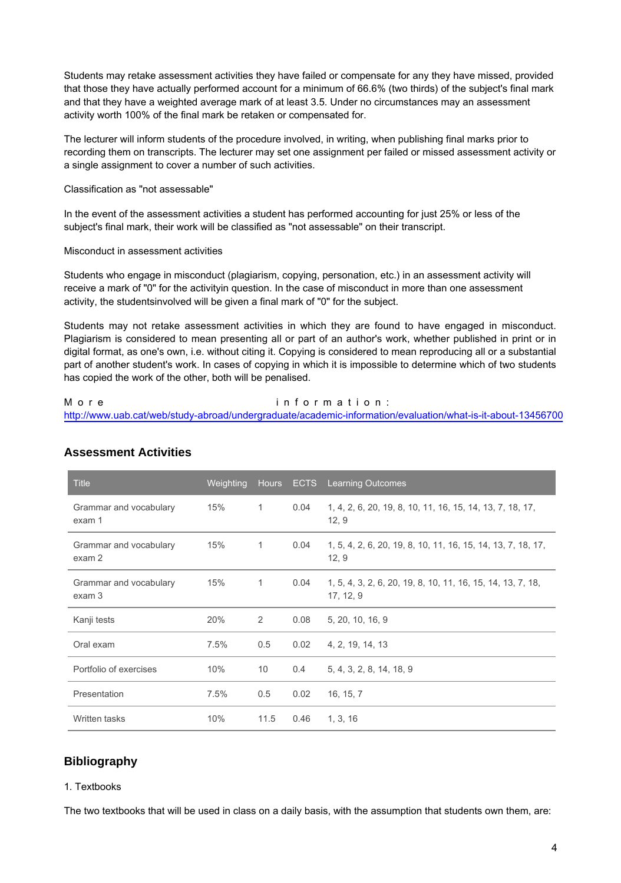Students may retake assessment activities they have failed or compensate for any they have missed, provided that those they have actually performed account for a minimum of 66.6% (two thirds) of the subject's final mark and that they have a weighted average mark of at least 3.5. Under no circumstances may an assessment activity worth 100% of the final mark be retaken or compensated for.

The lecturer will inform students of the procedure involved, in writing, when publishing final marks prior to recording them on transcripts. The lecturer may set one assignment per failed or missed assessment activity or a single assignment to cover a number of such activities.

#### Classification as "not assessable"

In the event of the assessment activities a student has performed accounting for just 25% or less of the subject's final mark, their work will be classified as "not assessable" on their transcript.

#### Misconduct in assessment activities

Students who engage in misconduct (plagiarism, copying, personation, etc.) in an assessment activity will receive a mark of "0" for the activityin question. In the case of misconduct in more than one assessment activity, the studentsinvolved will be given a final mark of "0" for the subject.

Students may not retake assessment activities in which they are found to have engaged in misconduct. Plagiarism is considered to mean presenting all or part of an author's work, whether published in print or in digital format, as one's own, i.e. without citing it. Copying is considered to mean reproducing all or a substantial part of another student's work. In cases of copying in which it is impossible to determine which of two students has copied the work of the other, both will be penalised.

#### M o r e in the information : http://www.uab.cat/web/study-abroad/undergraduate/academic-information/evaluation/what-is-it-about-13456700

| <b>Title</b>                     | Weighting |              | Hours ECTS    | <b>Learning Outcomes</b>                                                 |
|----------------------------------|-----------|--------------|---------------|--------------------------------------------------------------------------|
| Grammar and vocabulary<br>exam 1 | 15%       | $\mathbf{1}$ | 0.04          | 1, 4, 2, 6, 20, 19, 8, 10, 11, 16, 15, 14, 13, 7, 18, 17,<br>12, 9       |
| Grammar and vocabulary<br>exam 2 | 15%       | $\mathbf{1}$ | 0.04          | 1, 5, 4, 2, 6, 20, 19, 8, 10, 11, 16, 15, 14, 13, 7, 18, 17,<br>12, 9    |
| Grammar and vocabulary<br>exam 3 | 15%       | $\mathbf{1}$ | 0.04          | 1, 5, 4, 3, 2, 6, 20, 19, 8, 10, 11, 16, 15, 14, 13, 7, 18,<br>17, 12, 9 |
| Kanji tests                      | 20%       | 2            | 0.08          | 5, 20, 10, 16, 9                                                         |
| Oral exam                        | 7.5%      | 0.5          | 0.02          | 4, 2, 19, 14, 13                                                         |
| Portfolio of exercises           | 10%       | 10           | $0.4^{\circ}$ | 5, 4, 3, 2, 8, 14, 18, 9                                                 |
| Presentation                     | 7.5%      | 0.5          | 0.02          | 16, 15, 7                                                                |
| Written tasks                    | 10%       | 11.5         | 0.46          | 1, 3, 16                                                                 |

## **Assessment Activities**

# **Bibliography**

#### 1. Textbooks

The two textbooks that will be used in class on a daily basis, with the assumption that students own them, are: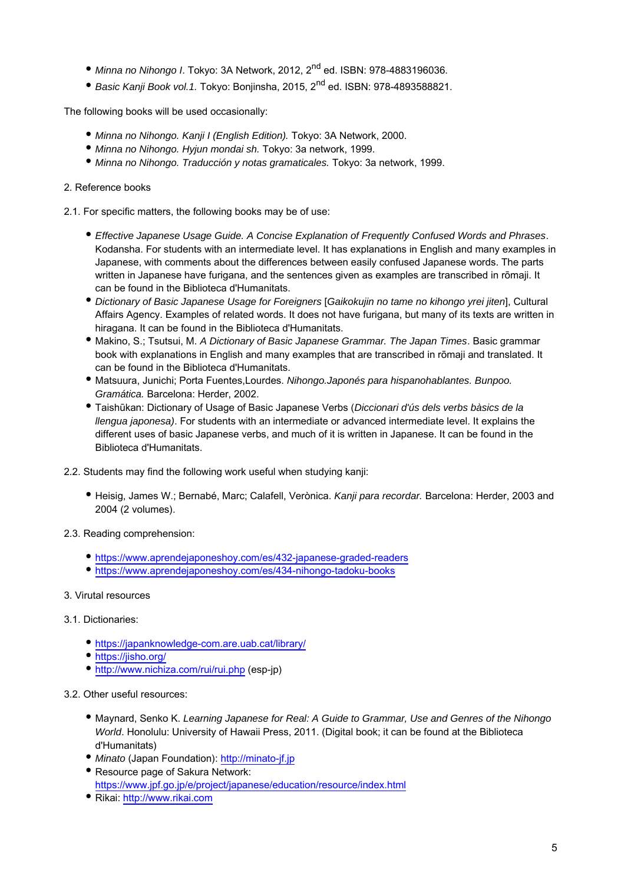- $\bullet$  Minna no Nihongo I. Tokyo: 3A Network, 2012, 2<sup>nd</sup> ed. ISBN: 978-4883196036.
- $\bullet$  Basic Kanji Book vol.1. Tokyo: Bonjinsha, 2015, 2<sup>nd</sup> ed. ISBN: 978-4893588821.

The following books will be used occasionally:

- Minna no Nihongo. Kanji I (English Edition). Tokyo: 3A Network, 2000.
- Minna no Nihongo. Hyjun mondai sh. Tokyo: 3a network, 1999.
- Minna no Nihongo. Traducción y notas gramaticales. Tokyo: 3a network, 1999.

### 2. Reference books

2.1. For specific matters, the following books may be of use:

- Effective Japanese Usage Guide. A Concise Explanation of Frequently Confused Words and Phrases. Kodansha. For students with an intermediate level. It has explanations in English and many examples in Japanese, with comments about the differences between easily confused Japanese words. The parts written in Japanese have furigana, and the sentences given as examples are transcribed in rōmaji. It can be found in the Biblioteca d'Humanitats.
- Dictionary of Basic Japanese Usage for Foreigners [Gaikokujin no tame no kihongo yrei jiten], Cultural Affairs Agency. Examples of related words. It does not have furigana, but many of its texts are written in hiragana. It can be found in the Biblioteca d'Humanitats.
- Makino, S.; Tsutsui, M. A Dictionary of Basic Japanese Grammar. The Japan Times. Basic grammar book with explanations in English and many examples that are transcribed in rōmaji and translated. It can be found in the Biblioteca d'Humanitats.
- Matsuura, Junichi; Porta Fuentes,Lourdes. Nihongo.Japonés para hispanohablantes. Bunpoo. Gramática. Barcelona: Herder, 2002.
- Taishūkan: Dictionary of Usage of Basic Japanese Verbs (Diccionari d'ús dels verbs bàsics de la llengua japonesa). For students with an intermediate or advanced intermediate level. It explains the different uses of basic Japanese verbs, and much of it is written in Japanese. It can be found in the Biblioteca d'Humanitats.
- 2.2. Students may find the following work useful when studying kanji:
	- Heisig, James W.; Bernabé, Marc; Calafell, Verònica. Kanji para recordar. Barcelona: Herder, 2003 and 2004 (2 volumes).
- 2.3. Reading comprehension:
	- <https://www.aprendejaponeshoy.com/es/432-japanese-graded-readers>
	- <https://www.aprendejaponeshoy.com/es/434-nihongo-tadoku-books>

### 3. Virutal resources

### 3.1. Dictionaries:

- <https://japanknowledge-com.are.uab.cat/library/>
- <https://jisho.org/>
- <http://www.nichiza.com/rui/rui.php>(esp-jp)

### 3.2. Other useful resources:

- Maynard, Senko K. Learning Japanese for Real: A Guide to Grammar, Use and Genres of the Nihongo World. Honolulu: University of Hawaii Press, 2011. (Digital book; it can be found at the Biblioteca d'Humanitats)
- Minato (Japan Foundation):<http://minato-jf.jp>
- Resource page of Sakura Network: <https://www.jpf.go.jp/e/project/japanese/education/resource/index.html>
- Rikai: <http://www.rikai.com>